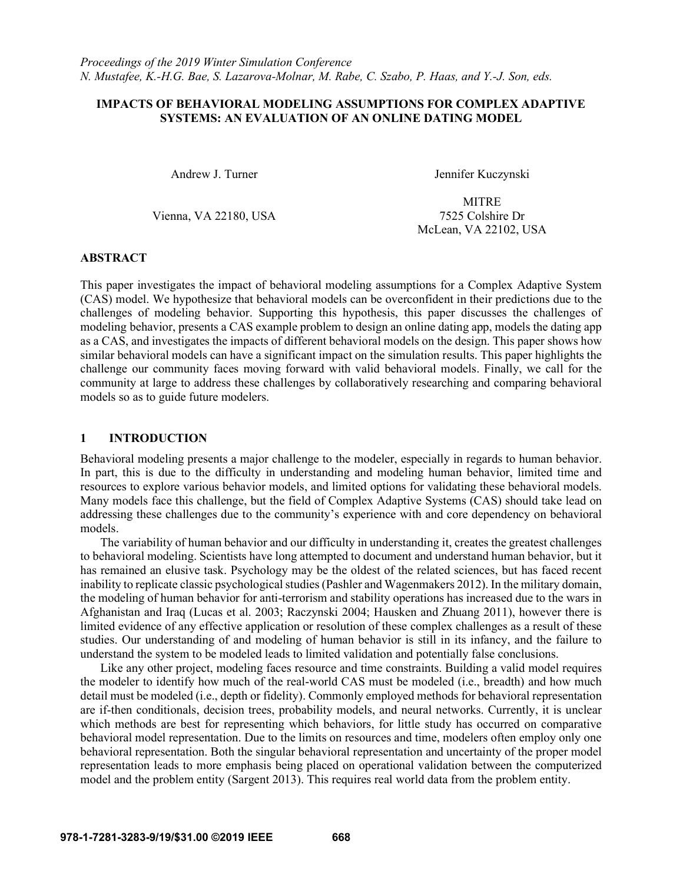# IMPACTS OF BEHAVIORAL MODELING ASSUMPTIONS FOR COMPLEX ADAPTIVE SYSTEMS: AN EVALUATION OF AN ONLINE DATING MODEL

Andrew J. Turner Jennifer Kuczynski

Vienna, VA 22180, USA 7525 Colshire Dr

MITRE McLean, VA 22102, USA

# ABSTRACT

This paper investigates the impact of behavioral modeling assumptions for a Complex Adaptive System (CAS) model. We hypothesize that behavioral models can be overconfident in their predictions due to the challenges of modeling behavior. Supporting this hypothesis, this paper discusses the challenges of modeling behavior, presents a CAS example problem to design an online dating app, models the dating app as a CAS, and investigates the impacts of different behavioral models on the design. This paper shows how similar behavioral models can have a significant impact on the simulation results. This paper highlights the challenge our community faces moving forward with valid behavioral models. Finally, we call for the community at large to address these challenges by collaboratively researching and comparing behavioral models so as to guide future modelers.

# 1 INTRODUCTION

Behavioral modeling presents a major challenge to the modeler, especially in regards to human behavior. In part, this is due to the difficulty in understanding and modeling human behavior, limited time and resources to explore various behavior models, and limited options for validating these behavioral models. Many models face this challenge, but the field of Complex Adaptive Systems (CAS) should take lead on addressing these challenges due to the community's experience with and core dependency on behavioral models.

 The variability of human behavior and our difficulty in understanding it, creates the greatest challenges to behavioral modeling. Scientists have long attempted to document and understand human behavior, but it has remained an elusive task. Psychology may be the oldest of the related sciences, but has faced recent inability to replicate classic psychological studies (Pashler and Wagenmakers 2012). In the military domain, the modeling of human behavior for anti-terrorism and stability operations has increased due to the wars in Afghanistan and Iraq (Lucas et al. 2003; Raczynski 2004; Hausken and Zhuang 2011), however there is limited evidence of any effective application or resolution of these complex challenges as a result of these studies. Our understanding of and modeling of human behavior is still in its infancy, and the failure to understand the system to be modeled leads to limited validation and potentially false conclusions.

 Like any other project, modeling faces resource and time constraints. Building a valid model requires the modeler to identify how much of the real-world CAS must be modeled (i.e., breadth) and how much detail must be modeled (i.e., depth or fidelity). Commonly employed methods for behavioral representation are if-then conditionals, decision trees, probability models, and neural networks. Currently, it is unclear which methods are best for representing which behaviors, for little study has occurred on comparative behavioral model representation. Due to the limits on resources and time, modelers often employ only one behavioral representation. Both the singular behavioral representation and uncertainty of the proper model representation leads to more emphasis being placed on operational validation between the computerized model and the problem entity (Sargent 2013). This requires real world data from the problem entity.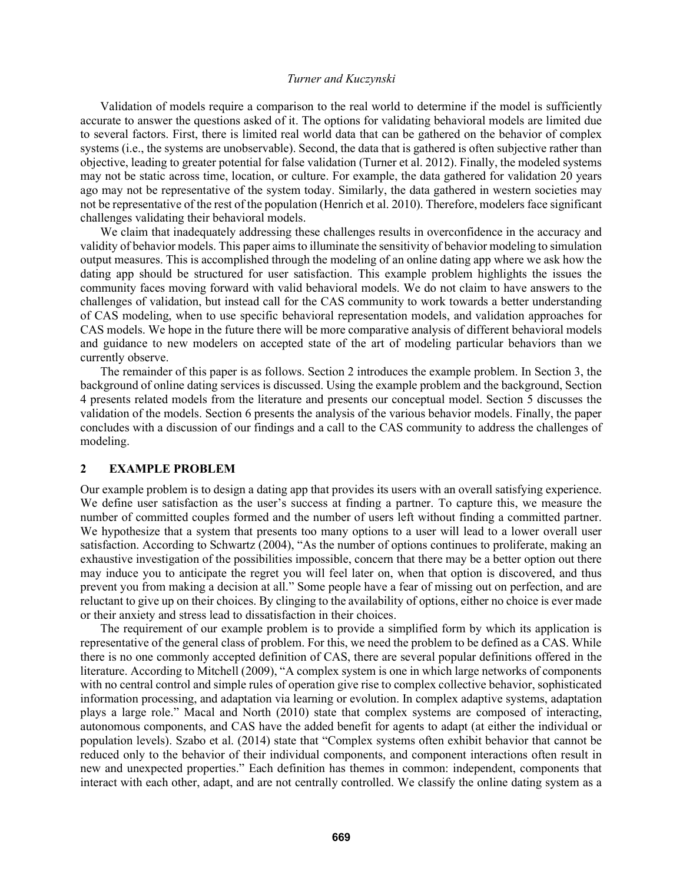Validation of models require a comparison to the real world to determine if the model is sufficiently accurate to answer the questions asked of it. The options for validating behavioral models are limited due to several factors. First, there is limited real world data that can be gathered on the behavior of complex systems (i.e., the systems are unobservable). Second, the data that is gathered is often subjective rather than objective, leading to greater potential for false validation (Turner et al. 2012). Finally, the modeled systems may not be static across time, location, or culture. For example, the data gathered for validation 20 years ago may not be representative of the system today. Similarly, the data gathered in western societies may not be representative of the rest of the population (Henrich et al. 2010). Therefore, modelers face significant challenges validating their behavioral models.

 We claim that inadequately addressing these challenges results in overconfidence in the accuracy and validity of behavior models. This paper aims to illuminate the sensitivity of behavior modeling to simulation output measures. This is accomplished through the modeling of an online dating app where we ask how the dating app should be structured for user satisfaction. This example problem highlights the issues the community faces moving forward with valid behavioral models. We do not claim to have answers to the challenges of validation, but instead call for the CAS community to work towards a better understanding of CAS modeling, when to use specific behavioral representation models, and validation approaches for CAS models. We hope in the future there will be more comparative analysis of different behavioral models and guidance to new modelers on accepted state of the art of modeling particular behaviors than we currently observe.

 The remainder of this paper is as follows. Section 2 introduces the example problem. In Section 3, the background of online dating services is discussed. Using the example problem and the background, Section 4 presents related models from the literature and presents our conceptual model. Section 5 discusses the validation of the models. Section 6 presents the analysis of the various behavior models. Finally, the paper concludes with a discussion of our findings and a call to the CAS community to address the challenges of modeling.

### 2 EXAMPLE PROBLEM

Our example problem is to design a dating app that provides its users with an overall satisfying experience. We define user satisfaction as the user's success at finding a partner. To capture this, we measure the number of committed couples formed and the number of users left without finding a committed partner. We hypothesize that a system that presents too many options to a user will lead to a lower overall user satisfaction. According to Schwartz (2004), "As the number of options continues to proliferate, making an exhaustive investigation of the possibilities impossible, concern that there may be a better option out there may induce you to anticipate the regret you will feel later on, when that option is discovered, and thus prevent you from making a decision at all." Some people have a fear of missing out on perfection, and are reluctant to give up on their choices. By clinging to the availability of options, either no choice is ever made or their anxiety and stress lead to dissatisfaction in their choices.

 The requirement of our example problem is to provide a simplified form by which its application is representative of the general class of problem. For this, we need the problem to be defined as a CAS. While there is no one commonly accepted definition of CAS, there are several popular definitions offered in the literature. According to Mitchell (2009), "A complex system is one in which large networks of components with no central control and simple rules of operation give rise to complex collective behavior, sophisticated information processing, and adaptation via learning or evolution. In complex adaptive systems, adaptation plays a large role." Macal and North (2010) state that complex systems are composed of interacting, autonomous components, and CAS have the added benefit for agents to adapt (at either the individual or population levels). Szabo et al. (2014) state that "Complex systems often exhibit behavior that cannot be reduced only to the behavior of their individual components, and component interactions often result in new and unexpected properties." Each definition has themes in common: independent, components that interact with each other, adapt, and are not centrally controlled. We classify the online dating system as a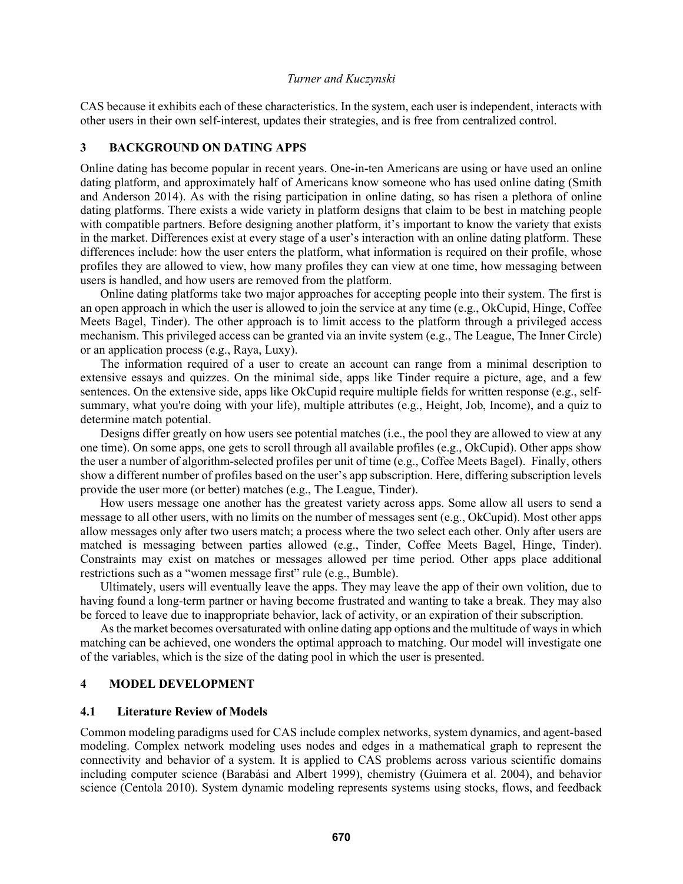CAS because it exhibits each of these characteristics. In the system, each user is independent, interacts with other users in their own self-interest, updates their strategies, and is free from centralized control.

## 3 BACKGROUND ON DATING APPS

Online dating has become popular in recent years. One-in-ten Americans are using or have used an online dating platform, and approximately half of Americans know someone who has used online dating (Smith and Anderson 2014). As with the rising participation in online dating, so has risen a plethora of online dating platforms. There exists a wide variety in platform designs that claim to be best in matching people with compatible partners. Before designing another platform, it's important to know the variety that exists in the market. Differences exist at every stage of a user's interaction with an online dating platform. These differences include: how the user enters the platform, what information is required on their profile, whose profiles they are allowed to view, how many profiles they can view at one time, how messaging between users is handled, and how users are removed from the platform.

 Online dating platforms take two major approaches for accepting people into their system. The first is an open approach in which the user is allowed to join the service at any time (e.g., OkCupid, Hinge, Coffee Meets Bagel, Tinder). The other approach is to limit access to the platform through a privileged access mechanism. This privileged access can be granted via an invite system (e.g., The League, The Inner Circle) or an application process (e.g., Raya, Luxy).

 The information required of a user to create an account can range from a minimal description to extensive essays and quizzes. On the minimal side, apps like Tinder require a picture, age, and a few sentences. On the extensive side, apps like OkCupid require multiple fields for written response (e.g., selfsummary, what you're doing with your life), multiple attributes (e.g., Height, Job, Income), and a quiz to determine match potential.

 Designs differ greatly on how users see potential matches (i.e., the pool they are allowed to view at any one time). On some apps, one gets to scroll through all available profiles (e.g., OkCupid). Other apps show the user a number of algorithm-selected profiles per unit of time (e.g., Coffee Meets Bagel). Finally, others show a different number of profiles based on the user's app subscription. Here, differing subscription levels provide the user more (or better) matches (e.g., The League, Tinder).

 How users message one another has the greatest variety across apps. Some allow all users to send a message to all other users, with no limits on the number of messages sent (e.g., OkCupid). Most other apps allow messages only after two users match; a process where the two select each other. Only after users are matched is messaging between parties allowed (e.g., Tinder, Coffee Meets Bagel, Hinge, Tinder). Constraints may exist on matches or messages allowed per time period. Other apps place additional restrictions such as a "women message first" rule (e.g., Bumble).

 Ultimately, users will eventually leave the apps. They may leave the app of their own volition, due to having found a long-term partner or having become frustrated and wanting to take a break. They may also be forced to leave due to inappropriate behavior, lack of activity, or an expiration of their subscription.

 As the market becomes oversaturated with online dating app options and the multitude of ways in which matching can be achieved, one wonders the optimal approach to matching. Our model will investigate one of the variables, which is the size of the dating pool in which the user is presented.

#### 4 MODEL DEVELOPMENT

## 4.1 Literature Review of Models

Common modeling paradigms used for CAS include complex networks, system dynamics, and agent-based modeling. Complex network modeling uses nodes and edges in a mathematical graph to represent the connectivity and behavior of a system. It is applied to CAS problems across various scientific domains including computer science (Barabási and Albert 1999), chemistry (Guimera et al. 2004), and behavior science (Centola 2010). System dynamic modeling represents systems using stocks, flows, and feedback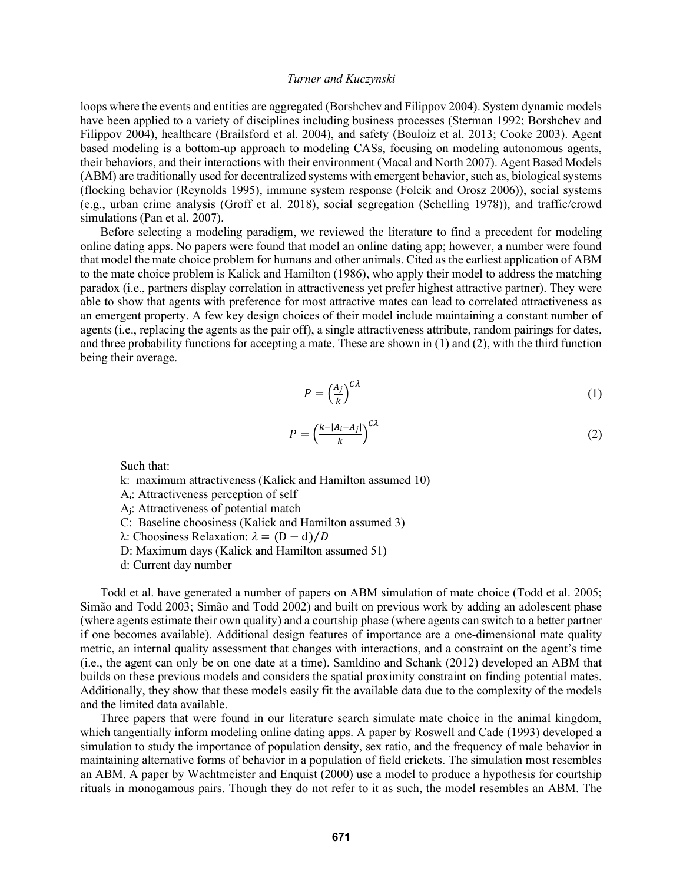loops where the events and entities are aggregated (Borshchev and Filippov 2004). System dynamic models have been applied to a variety of disciplines including business processes (Sterman 1992; Borshchev and Filippov 2004), healthcare (Brailsford et al. 2004), and safety (Bouloiz et al. 2013; Cooke 2003). Agent based modeling is a bottom-up approach to modeling CASs, focusing on modeling autonomous agents, their behaviors, and their interactions with their environment (Macal and North 2007). Agent Based Models (ABM) are traditionally used for decentralized systems with emergent behavior, such as, biological systems (flocking behavior (Reynolds 1995), immune system response (Folcik and Orosz 2006)), social systems (e.g., urban crime analysis (Groff et al. 2018), social segregation (Schelling 1978)), and traffic/crowd simulations (Pan et al. 2007).

 Before selecting a modeling paradigm, we reviewed the literature to find a precedent for modeling online dating apps. No papers were found that model an online dating app; however, a number were found that model the mate choice problem for humans and other animals. Cited as the earliest application of ABM to the mate choice problem is Kalick and Hamilton (1986), who apply their model to address the matching paradox (i.e., partners display correlation in attractiveness yet prefer highest attractive partner). They were able to show that agents with preference for most attractive mates can lead to correlated attractiveness as an emergent property. A few key design choices of their model include maintaining a constant number of agents (i.e., replacing the agents as the pair off), a single attractiveness attribute, random pairings for dates, and three probability functions for accepting a mate. These are shown in (1) and (2), with the third function being their average.

$$
P = \left(\frac{A_j}{k}\right)^{C\lambda} \tag{1}
$$

$$
P = \left(\frac{k - |A_i - A_j|}{k}\right)^{C\lambda} \tag{2}
$$

Such that:

k: maximum attractiveness (Kalick and Hamilton assumed 10)

Ai: Attractiveness perception of self

Aj: Attractiveness of potential match

C: Baseline choosiness (Kalick and Hamilton assumed 3)

 $\lambda$ : Choosiness Relaxation:  $\lambda = (D - d)/D$ 

D: Maximum days (Kalick and Hamilton assumed 51)

d: Current day number

 Todd et al. have generated a number of papers on ABM simulation of mate choice (Todd et al. 2005; Simão and Todd 2003; Simão and Todd 2002) and built on previous work by adding an adolescent phase (where agents estimate their own quality) and a courtship phase (where agents can switch to a better partner if one becomes available). Additional design features of importance are a one-dimensional mate quality metric, an internal quality assessment that changes with interactions, and a constraint on the agent's time (i.e., the agent can only be on one date at a time). Samldino and Schank (2012) developed an ABM that builds on these previous models and considers the spatial proximity constraint on finding potential mates. Additionally, they show that these models easily fit the available data due to the complexity of the models and the limited data available.

 Three papers that were found in our literature search simulate mate choice in the animal kingdom, which tangentially inform modeling online dating apps. A paper by Roswell and Cade (1993) developed a simulation to study the importance of population density, sex ratio, and the frequency of male behavior in maintaining alternative forms of behavior in a population of field crickets. The simulation most resembles an ABM. A paper by Wachtmeister and Enquist (2000) use a model to produce a hypothesis for courtship rituals in monogamous pairs. Though they do not refer to it as such, the model resembles an ABM. The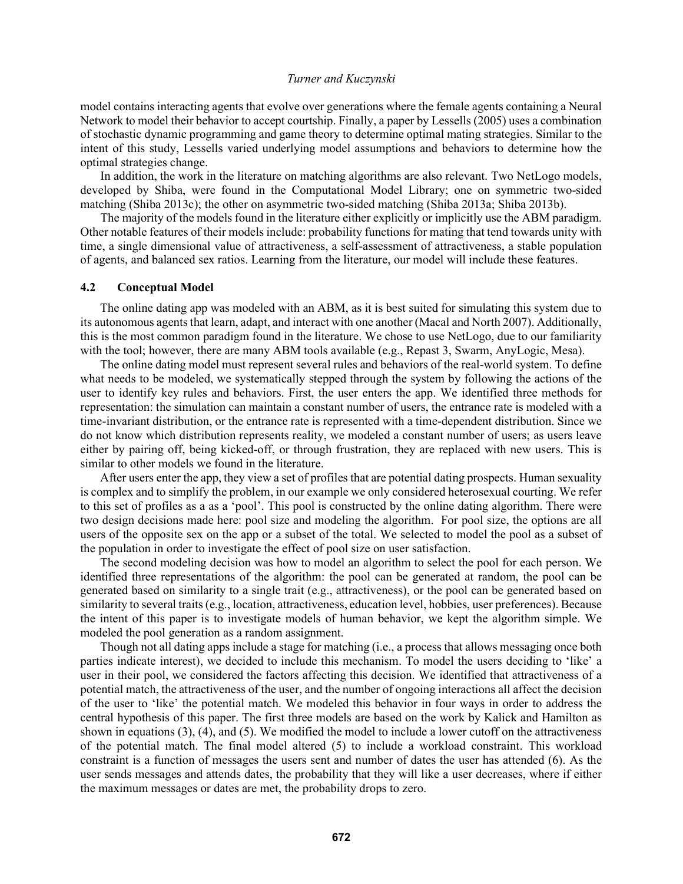model contains interacting agents that evolve over generations where the female agents containing a Neural Network to model their behavior to accept courtship. Finally, a paper by Lessells (2005) uses a combination of stochastic dynamic programming and game theory to determine optimal mating strategies. Similar to the intent of this study, Lessells varied underlying model assumptions and behaviors to determine how the optimal strategies change.

 In addition, the work in the literature on matching algorithms are also relevant. Two NetLogo models, developed by Shiba, were found in the Computational Model Library; one on symmetric two-sided matching (Shiba 2013c); the other on asymmetric two-sided matching (Shiba 2013a; Shiba 2013b).

 The majority of the models found in the literature either explicitly or implicitly use the ABM paradigm. Other notable features of their models include: probability functions for mating that tend towards unity with time, a single dimensional value of attractiveness, a self-assessment of attractiveness, a stable population of agents, and balanced sex ratios. Learning from the literature, our model will include these features.

#### 4.2 Conceptual Model

The online dating app was modeled with an ABM, as it is best suited for simulating this system due to its autonomous agents that learn, adapt, and interact with one another (Macal and North 2007). Additionally, this is the most common paradigm found in the literature. We chose to use NetLogo, due to our familiarity with the tool; however, there are many ABM tools available (e.g., Repast 3, Swarm, AnyLogic, Mesa).

The online dating model must represent several rules and behaviors of the real-world system. To define what needs to be modeled, we systematically stepped through the system by following the actions of the user to identify key rules and behaviors. First, the user enters the app. We identified three methods for representation: the simulation can maintain a constant number of users, the entrance rate is modeled with a time-invariant distribution, or the entrance rate is represented with a time-dependent distribution. Since we do not know which distribution represents reality, we modeled a constant number of users; as users leave either by pairing off, being kicked-off, or through frustration, they are replaced with new users. This is similar to other models we found in the literature.

After users enter the app, they view a set of profiles that are potential dating prospects. Human sexuality is complex and to simplify the problem, in our example we only considered heterosexual courting. We refer to this set of profiles as a as a 'pool'. This pool is constructed by the online dating algorithm. There were two design decisions made here: pool size and modeling the algorithm. For pool size, the options are all users of the opposite sex on the app or a subset of the total. We selected to model the pool as a subset of the population in order to investigate the effect of pool size on user satisfaction.

The second modeling decision was how to model an algorithm to select the pool for each person. We identified three representations of the algorithm: the pool can be generated at random, the pool can be generated based on similarity to a single trait (e.g., attractiveness), or the pool can be generated based on similarity to several traits (e.g., location, attractiveness, education level, hobbies, user preferences). Because the intent of this paper is to investigate models of human behavior, we kept the algorithm simple. We modeled the pool generation as a random assignment.

Though not all dating apps include a stage for matching (i.e., a process that allows messaging once both parties indicate interest), we decided to include this mechanism. To model the users deciding to 'like' a user in their pool, we considered the factors affecting this decision. We identified that attractiveness of a potential match, the attractiveness of the user, and the number of ongoing interactions all affect the decision of the user to 'like' the potential match. We modeled this behavior in four ways in order to address the central hypothesis of this paper. The first three models are based on the work by Kalick and Hamilton as shown in equations (3), (4), and (5). We modified the model to include a lower cutoff on the attractiveness of the potential match. The final model altered (5) to include a workload constraint. This workload constraint is a function of messages the users sent and number of dates the user has attended (6). As the user sends messages and attends dates, the probability that they will like a user decreases, where if either the maximum messages or dates are met, the probability drops to zero.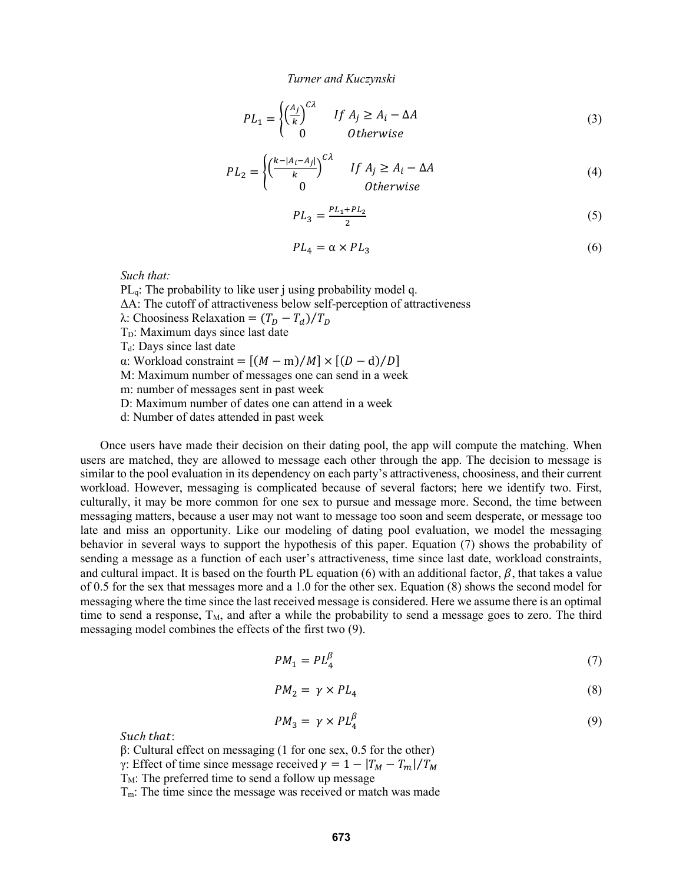$$
PL_1 = \begin{cases} \left(\frac{A_j}{k}\right)^{C\lambda} & \text{if } A_j \ge A_i - \Delta A \\ 0 & \text{otherwise} \end{cases}
$$
 (3)

$$
PL_2 = \begin{cases} \left(\frac{k-|A_i-A_j|}{k}\right)^{C\lambda} & \text{if } A_j \ge A_i - \Delta A\\ 0 & \text{otherwise} \end{cases}
$$
 (4)

$$
PL_3 = \frac{PL_1 + PL_2}{2} \tag{5}
$$

$$
PL_4 = \alpha \times PL_3 \tag{6}
$$

Such that:

 $PL<sub>q</sub>$ : The probability to like user j using probability model q. ΔA: The cutoff of attractiveness below self-perception of attractiveness λ: Choosiness Relaxation =  $(T_D - T_d)/T_D$  $T_D$ : Maximum days since last date  $T_d$ : Days since last date α: Workload constraint =  $[(M - m)/M] \times [(D - d)/D]$ M: Maximum number of messages one can send in a week m: number of messages sent in past week D: Maximum number of dates one can attend in a week d: Number of dates attended in past week

Once users have made their decision on their dating pool, the app will compute the matching. When users are matched, they are allowed to message each other through the app. The decision to message is similar to the pool evaluation in its dependency on each party's attractiveness, choosiness, and their current workload. However, messaging is complicated because of several factors; here we identify two. First, culturally, it may be more common for one sex to pursue and message more. Second, the time between messaging matters, because a user may not want to message too soon and seem desperate, or message too late and miss an opportunity. Like our modeling of dating pool evaluation, we model the messaging behavior in several ways to support the hypothesis of this paper. Equation (7) shows the probability of sending a message as a function of each user's attractiveness, time since last date, workload constraints, and cultural impact. It is based on the fourth PL equation (6) with an additional factor,  $\beta$ , that takes a value of 0.5 for the sex that messages more and a 1.0 for the other sex. Equation (8) shows the second model for messaging where the time since the last received message is considered. Here we assume there is an optimal time to send a response,  $T_M$ , and after a while the probability to send a message goes to zero. The third messaging model combines the effects of the first two (9).

$$
PM_1 = PL_4^{\beta} \tag{7}
$$

$$
PM_2 = \gamma \times PL_4 \tag{8}
$$

$$
PM_3 = \gamma \times PL_4^{\beta} \tag{9}
$$

Such that:

 $β$ : Cultural effect on messaging (1 for one sex, 0.5 for the other)

γ: Effect of time since message received  $\gamma = 1 - |T_M - T_m| / T_M$ 

 $T_M$ : The preferred time to send a follow up message

T<sub>m</sub>: The time since the message was received or match was made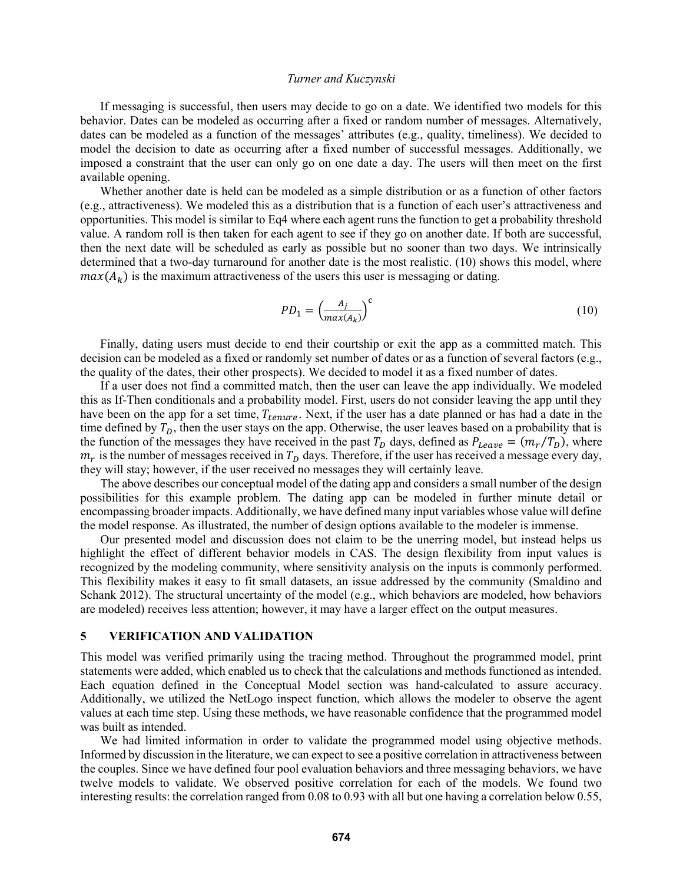If messaging is successful, then users may decide to go on a date. We identified two models for this behavior. Dates can be modeled as occurring after a fixed or random number of messages. Alternatively, dates can be modeled as a function of the messages' attributes (e.g., quality, timeliness). We decided to model the decision to date as occurring after a fixed number of successful messages. Additionally, we imposed a constraint that the user can only go on one date a day. The users will then meet on the first available opening.

Whether another date is held can be modeled as a simple distribution or as a function of other factors (e.g., attractiveness). We modeled this as a distribution that is a function of each user's attractiveness and opportunities. This model is similar to Eq4 where each agent runs the function to get a probability threshold value. A random roll is then taken for each agent to see if they go on another date. If both are successful, then the next date will be scheduled as early as possible but no sooner than two days. We intrinsically determined that a two-day turnaround for another date is the most realistic. (10) shows this model, where  $max(A_k)$  is the maximum attractiveness of the users this user is messaging or dating.

$$
PD_1 = \left(\frac{A_j}{\max(A_k)}\right)^c \tag{10}
$$

Finally, dating users must decide to end their courtship or exit the app as a committed match. This decision can be modeled as a fixed or randomly set number of dates or as a function of several factors (e.g., the quality of the dates, their other prospects). We decided to model it as a fixed number of dates.

If a user does not find a committed match, then the user can leave the app individually. We modeled this as If-Then conditionals and a probability model. First, users do not consider leaving the app until they have been on the app for a set time,  $T_{tenure}$ . Next, if the user has a date planned or has had a date in the time defined by  $T<sub>D</sub>$ , then the user stays on the app. Otherwise, the user leaves based on a probability that is the function of the messages they have received in the past  $T_D$  days, defined as  $P_{Leave} = (m_r/T_D)$ , where  $m_r$  is the number of messages received in  $T_D$  days. Therefore, if the user has received a message every day, they will stay; however, if the user received no messages they will certainly leave.

The above describes our conceptual model of the dating app and considers a small number of the design possibilities for this example problem. The dating app can be modeled in further minute detail or encompassing broader impacts. Additionally, we have defined many input variables whose value will define the model response. As illustrated, the number of design options available to the modeler is immense.

Our presented model and discussion does not claim to be the unerring model, but instead helps us highlight the effect of different behavior models in CAS. The design flexibility from input values is recognized by the modeling community, where sensitivity analysis on the inputs is commonly performed. This flexibility makes it easy to fit small datasets, an issue addressed by the community (Smaldino and Schank 2012). The structural uncertainty of the model (e.g., which behaviors are modeled, how behaviors are modeled) receives less attention; however, it may have a larger effect on the output measures.

#### 5 VERIFICATION AND VALIDATION

This model was verified primarily using the tracing method. Throughout the programmed model, print statements were added, which enabled us to check that the calculations and methods functioned as intended. Each equation defined in the Conceptual Model section was hand-calculated to assure accuracy. Additionally, we utilized the NetLogo inspect function, which allows the modeler to observe the agent values at each time step. Using these methods, we have reasonable confidence that the programmed model was built as intended.

We had limited information in order to validate the programmed model using objective methods. Informed by discussion in the literature, we can expect to see a positive correlation in attractiveness between the couples. Since we have defined four pool evaluation behaviors and three messaging behaviors, we have twelve models to validate. We observed positive correlation for each of the models. We found two interesting results: the correlation ranged from 0.08 to 0.93 with all but one having a correlation below 0.55,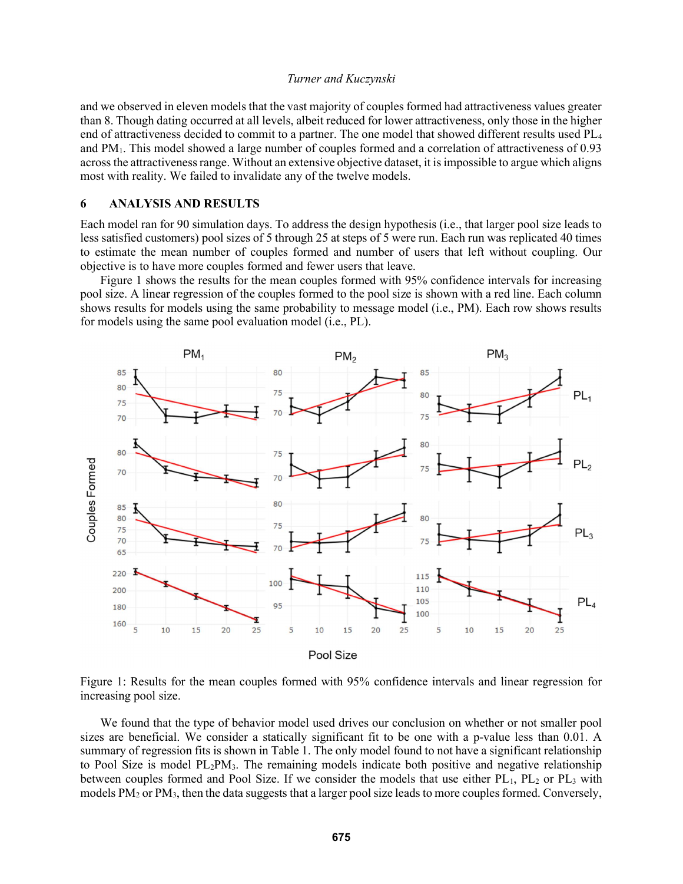and we observed in eleven models that the vast majority of couples formed had attractiveness values greater than 8. Though dating occurred at all levels, albeit reduced for lower attractiveness, only those in the higher end of attractiveness decided to commit to a partner. The one model that showed different results used PL<sup>4</sup> and PM1. This model showed a large number of couples formed and a correlation of attractiveness of 0.93 across the attractiveness range. Without an extensive objective dataset, it is impossible to argue which aligns most with reality. We failed to invalidate any of the twelve models.

#### 6 ANALYSIS AND RESULTS

Each model ran for 90 simulation days. To address the design hypothesis (i.e., that larger pool size leads to less satisfied customers) pool sizes of 5 through 25 at steps of 5 were run. Each run was replicated 40 times to estimate the mean number of couples formed and number of users that left without coupling. Our objective is to have more couples formed and fewer users that leave.

 Figure 1 shows the results for the mean couples formed with 95% confidence intervals for increasing pool size. A linear regression of the couples formed to the pool size is shown with a red line. Each column shows results for models using the same probability to message model (i.e., PM). Each row shows results for models using the same pool evaluation model (i.e., PL).



Figure 1: Results for the mean couples formed with 95% confidence intervals and linear regression for increasing pool size.

 We found that the type of behavior model used drives our conclusion on whether or not smaller pool sizes are beneficial. We consider a statically significant fit to be one with a p-value less than 0.01. A summary of regression fits is shown in Table 1. The only model found to not have a significant relationship to Pool Size is model PL2PM3. The remaining models indicate both positive and negative relationship between couples formed and Pool Size. If we consider the models that use either  $PL_1$ ,  $PL_2$  or  $PL_3$  with models PM2 or PM3, then the data suggests that a larger pool size leads to more couples formed. Conversely,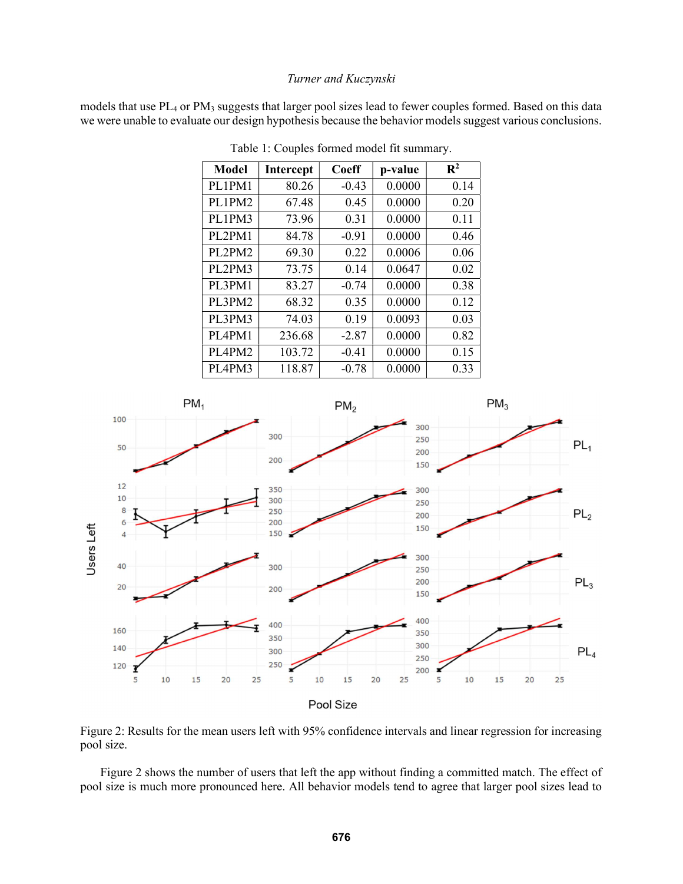models that use PL<sub>4</sub> or PM<sub>3</sub> suggests that larger pool sizes lead to fewer couples formed. Based on this data we were unable to evaluate our design hypothesis because the behavior models suggest various conclusions.

| <b>Model</b>  | Intercept | Coeff   | p-value | $\mathbf{R}^2$ |
|---------------|-----------|---------|---------|----------------|
| PL1PM1        | 80.26     | $-0.43$ | 0.0000  | 0.14           |
| PL1PM2        | 67.48     | 0.45    | 0.0000  | 0.20           |
| PL1PM3        | 73.96     | 0.31    | 0.0000  | 0.11           |
| <b>PL2PM1</b> | 84.78     | $-0.91$ | 0.0000  | 0.46           |
| PL2PM2        | 69.30     | 0.22    | 0.0006  | 0.06           |
| PL2PM3        | 73.75     | 0.14    | 0.0647  | 0.02           |
| PL3PM1        | 83.27     | $-0.74$ | 0.0000  | 0.38           |
| PL3PM2        | 68.32     | 0.35    | 0.0000  | 0.12           |
| PL3PM3        | 74.03     | 0.19    | 0.0093  | 0.03           |
| PL4PM1        | 236.68    | $-2.87$ | 0.0000  | 0.82           |
| PL4PM2        | 103.72    | $-0.41$ | 0.0000  | 0.15           |
| PL4PM3        | 118.87    | $-0.78$ | 0.0000  | 0.33           |

Table 1: Couples formed model fit summary.



Figure 2: Results for the mean users left with 95% confidence intervals and linear regression for increasing pool size.

 Figure 2 shows the number of users that left the app without finding a committed match. The effect of pool size is much more pronounced here. All behavior models tend to agree that larger pool sizes lead to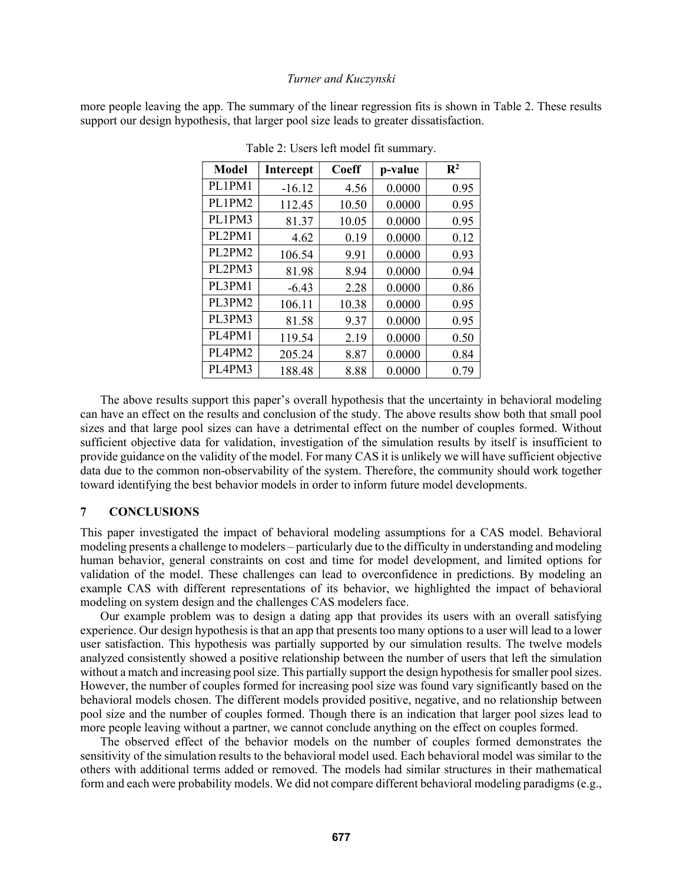more people leaving the app. The summary of the linear regression fits is shown in Table 2. These results support our design hypothesis, that larger pool size leads to greater dissatisfaction.

| <b>Model</b> | Intercept | Coeff | p-value | $\mathbf{R}^2$ |
|--------------|-----------|-------|---------|----------------|
| PL1PM1       | $-16.12$  | 4.56  | 0.0000  | 0.95           |
| PL1PM2       | 112.45    | 10.50 | 0.0000  | 0.95           |
| PL1PM3       | 81.37     | 10.05 | 0.0000  | 0.95           |
| PL2PM1       | 4.62      | 0.19  | 0.0000  | 0.12           |
| PL2PM2       | 106.54    | 9.91  | 0.0000  | 0.93           |
| PL2PM3       | 81.98     | 8.94  | 0.0000  | 0.94           |
| PL3PM1       | $-6.43$   | 2.28  | 0.0000  | 0.86           |
| PL3PM2       | 106.11    | 10.38 | 0.0000  | 0.95           |
| PL3PM3       | 81.58     | 9.37  | 0.0000  | 0.95           |
| PL4PM1       | 119.54    | 2.19  | 0.0000  | 0.50           |
| PL4PM2       | 205.24    | 8.87  | 0.0000  | 0.84           |
| PL4PM3       | 188.48    | 8.88  | 0.0000  | 0.79           |

Table 2: Users left model fit summary.

 The above results support this paper's overall hypothesis that the uncertainty in behavioral modeling can have an effect on the results and conclusion of the study. The above results show both that small pool sizes and that large pool sizes can have a detrimental effect on the number of couples formed. Without sufficient objective data for validation, investigation of the simulation results by itself is insufficient to provide guidance on the validity of the model. For many CAS it is unlikely we will have sufficient objective data due to the common non-observability of the system. Therefore, the community should work together toward identifying the best behavior models in order to inform future model developments.

### 7 CONCLUSIONS

This paper investigated the impact of behavioral modeling assumptions for a CAS model. Behavioral modeling presents a challenge to modelers – particularly due to the difficulty in understanding and modeling human behavior, general constraints on cost and time for model development, and limited options for validation of the model. These challenges can lead to overconfidence in predictions. By modeling an example CAS with different representations of its behavior, we highlighted the impact of behavioral modeling on system design and the challenges CAS modelers face.

Our example problem was to design a dating app that provides its users with an overall satisfying experience. Our design hypothesis is that an app that presents too many options to a user will lead to a lower user satisfaction. This hypothesis was partially supported by our simulation results. The twelve models analyzed consistently showed a positive relationship between the number of users that left the simulation without a match and increasing pool size. This partially support the design hypothesis for smaller pool sizes. However, the number of couples formed for increasing pool size was found vary significantly based on the behavioral models chosen. The different models provided positive, negative, and no relationship between pool size and the number of couples formed. Though there is an indication that larger pool sizes lead to more people leaving without a partner, we cannot conclude anything on the effect on couples formed.

The observed effect of the behavior models on the number of couples formed demonstrates the sensitivity of the simulation results to the behavioral model used. Each behavioral model was similar to the others with additional terms added or removed. The models had similar structures in their mathematical form and each were probability models. We did not compare different behavioral modeling paradigms (e.g.,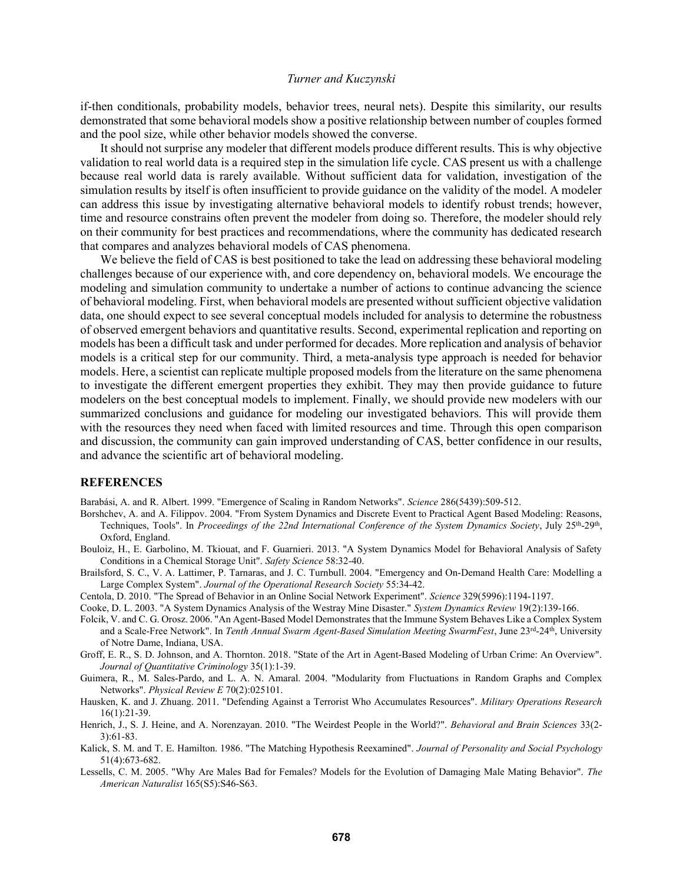if-then conditionals, probability models, behavior trees, neural nets). Despite this similarity, our results demonstrated that some behavioral models show a positive relationship between number of couples formed and the pool size, while other behavior models showed the converse.

It should not surprise any modeler that different models produce different results. This is why objective validation to real world data is a required step in the simulation life cycle. CAS present us with a challenge because real world data is rarely available. Without sufficient data for validation, investigation of the simulation results by itself is often insufficient to provide guidance on the validity of the model. A modeler can address this issue by investigating alternative behavioral models to identify robust trends; however, time and resource constrains often prevent the modeler from doing so. Therefore, the modeler should rely on their community for best practices and recommendations, where the community has dedicated research that compares and analyzes behavioral models of CAS phenomena.

We believe the field of CAS is best positioned to take the lead on addressing these behavioral modeling challenges because of our experience with, and core dependency on, behavioral models. We encourage the modeling and simulation community to undertake a number of actions to continue advancing the science of behavioral modeling. First, when behavioral models are presented without sufficient objective validation data, one should expect to see several conceptual models included for analysis to determine the robustness of observed emergent behaviors and quantitative results. Second, experimental replication and reporting on models has been a difficult task and under performed for decades. More replication and analysis of behavior models is a critical step for our community. Third, a meta-analysis type approach is needed for behavior models. Here, a scientist can replicate multiple proposed models from the literature on the same phenomena to investigate the different emergent properties they exhibit. They may then provide guidance to future modelers on the best conceptual models to implement. Finally, we should provide new modelers with our summarized conclusions and guidance for modeling our investigated behaviors. This will provide them with the resources they need when faced with limited resources and time. Through this open comparison and discussion, the community can gain improved understanding of CAS, better confidence in our results, and advance the scientific art of behavioral modeling.

#### **REFERENCES**

Barabási, A. and R. Albert. 1999. "Emergence of Scaling in Random Networks". Science 286(5439):509-512.

- Borshchev, A. and A. Filippov. 2004. "From System Dynamics and Discrete Event to Practical Agent Based Modeling: Reasons, Techniques, Tools". In Proceedings of the 22nd International Conference of the System Dynamics Society, July 25<sup>th</sup>-29<sup>th</sup>, Oxford, England.
- Bouloiz, H., E. Garbolino, M. Tkiouat, and F. Guarnieri. 2013. "A System Dynamics Model for Behavioral Analysis of Safety Conditions in a Chemical Storage Unit". Safety Science 58:32-40.
- Brailsford, S. C., V. A. Lattimer, P. Tarnaras, and J. C. Turnbull. 2004. "Emergency and On-Demand Health Care: Modelling a Large Complex System". Journal of the Operational Research Society 55:34-42.
- Centola, D. 2010. "The Spread of Behavior in an Online Social Network Experiment". Science 329(5996):1194-1197.
- Cooke, D. L. 2003. "A System Dynamics Analysis of the Westray Mine Disaster." System Dynamics Review 19(2):139-166.
- Folcik, V. and C. G. Orosz. 2006. "An Agent-Based Model Demonstrates that the Immune System Behaves Like a Complex System and a Scale-Free Network". In Tenth Annual Swarm Agent-Based Simulation Meeting SwarmFest, June 23<sup>rd</sup>-24<sup>th</sup>, University of Notre Dame, Indiana, USA.
- Groff, E. R., S. D. Johnson, and A. Thornton. 2018. "State of the Art in Agent-Based Modeling of Urban Crime: An Overview". Journal of Quantitative Criminology 35(1):1-39.
- Guimera, R., M. Sales-Pardo, and L. A. N. Amaral. 2004. "Modularity from Fluctuations in Random Graphs and Complex Networks". Physical Review E 70(2):025101.
- Hausken, K. and J. Zhuang. 2011. "Defending Against a Terrorist Who Accumulates Resources". Military Operations Research 16(1):21-39.
- Henrich, J., S. J. Heine, and A. Norenzayan. 2010. "The Weirdest People in the World?". Behavioral and Brain Sciences 33(2-3):61-83.
- Kalick, S. M. and T. E. Hamilton. 1986. "The Matching Hypothesis Reexamined". Journal of Personality and Social Psychology 51(4):673-682.
- Lessells, C. M. 2005. "Why Are Males Bad for Females? Models for the Evolution of Damaging Male Mating Behavior". The American Naturalist 165(S5):S46-S63.